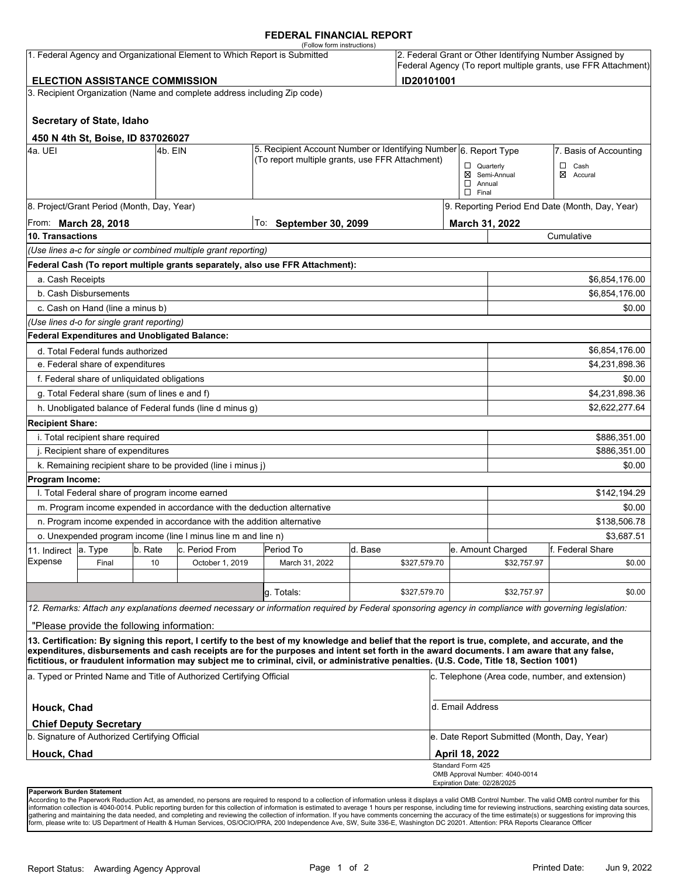### **FEDERAL FINANCIAL REPORT**

|                                                                                                                                                                                                                   |                                                      |         | 1. Federal Agency and Organizational Element to Which Report is Submitted | (Follow form instructions)                                                                                                                                                                                                                                                                         |         |              |                                                   |                                                 | 2. Federal Grant or Other Identifying Number Assigned by<br>Federal Agency (To report multiple grants, use FFR Attachment) |  |
|-------------------------------------------------------------------------------------------------------------------------------------------------------------------------------------------------------------------|------------------------------------------------------|---------|---------------------------------------------------------------------------|----------------------------------------------------------------------------------------------------------------------------------------------------------------------------------------------------------------------------------------------------------------------------------------------------|---------|--------------|---------------------------------------------------|-------------------------------------------------|----------------------------------------------------------------------------------------------------------------------------|--|
| ID20101001<br><b>ELECTION ASSISTANCE COMMISSION</b>                                                                                                                                                               |                                                      |         |                                                                           |                                                                                                                                                                                                                                                                                                    |         |              |                                                   |                                                 |                                                                                                                            |  |
|                                                                                                                                                                                                                   |                                                      |         | 3. Recipient Organization (Name and complete address including Zip code)  |                                                                                                                                                                                                                                                                                                    |         |              |                                                   |                                                 |                                                                                                                            |  |
|                                                                                                                                                                                                                   |                                                      |         |                                                                           |                                                                                                                                                                                                                                                                                                    |         |              |                                                   |                                                 |                                                                                                                            |  |
|                                                                                                                                                                                                                   | Secretary of State, Idaho                            |         |                                                                           |                                                                                                                                                                                                                                                                                                    |         |              |                                                   |                                                 |                                                                                                                            |  |
|                                                                                                                                                                                                                   | 450 N 4th St, Boise, ID 837026027                    |         |                                                                           |                                                                                                                                                                                                                                                                                                    |         |              |                                                   |                                                 |                                                                                                                            |  |
| 4a. UEI<br>l4b. EIN                                                                                                                                                                                               |                                                      |         |                                                                           | 5. Recipient Account Number or Identifying Number 6. Report Type<br>(To report multiple grants, use FFR Attachment)                                                                                                                                                                                |         |              |                                                   |                                                 | 7. Basis of Accounting                                                                                                     |  |
|                                                                                                                                                                                                                   |                                                      |         |                                                                           |                                                                                                                                                                                                                                                                                                    |         |              | $\Box$ Quarterly<br>$\Box$ Annual<br>$\Box$ Final | ⊠ Semi-Annual                                   | $\Box$ Cash<br>⊠ Accural                                                                                                   |  |
|                                                                                                                                                                                                                   | 8. Project/Grant Period (Month, Day, Year)           |         |                                                                           |                                                                                                                                                                                                                                                                                                    |         |              |                                                   | 9. Reporting Period End Date (Month, Day, Year) |                                                                                                                            |  |
| From: March 28, 2018                                                                                                                                                                                              |                                                      |         |                                                                           | To:<br><b>September 30, 2099</b>                                                                                                                                                                                                                                                                   |         |              |                                                   | March 31, 2022                                  |                                                                                                                            |  |
| 10. Transactions                                                                                                                                                                                                  |                                                      |         |                                                                           |                                                                                                                                                                                                                                                                                                    |         |              |                                                   | Cumulative                                      |                                                                                                                            |  |
|                                                                                                                                                                                                                   |                                                      |         | (Use lines a-c for single or combined multiple grant reporting)           |                                                                                                                                                                                                                                                                                                    |         |              |                                                   |                                                 |                                                                                                                            |  |
|                                                                                                                                                                                                                   |                                                      |         |                                                                           | Federal Cash (To report multiple grants separately, also use FFR Attachment):                                                                                                                                                                                                                      |         |              |                                                   |                                                 |                                                                                                                            |  |
| a. Cash Receipts                                                                                                                                                                                                  |                                                      |         |                                                                           |                                                                                                                                                                                                                                                                                                    |         |              |                                                   |                                                 | \$6,854,176.00                                                                                                             |  |
|                                                                                                                                                                                                                   | b. Cash Disbursements                                |         |                                                                           |                                                                                                                                                                                                                                                                                                    |         |              |                                                   | \$6,854,176.00                                  |                                                                                                                            |  |
|                                                                                                                                                                                                                   | c. Cash on Hand (line a minus b)                     |         |                                                                           |                                                                                                                                                                                                                                                                                                    |         |              |                                                   |                                                 | \$0.00                                                                                                                     |  |
|                                                                                                                                                                                                                   | (Use lines d-o for single grant reporting)           |         |                                                                           |                                                                                                                                                                                                                                                                                                    |         |              |                                                   |                                                 |                                                                                                                            |  |
|                                                                                                                                                                                                                   | <b>Federal Expenditures and Unobligated Balance:</b> |         |                                                                           |                                                                                                                                                                                                                                                                                                    |         |              |                                                   |                                                 |                                                                                                                            |  |
|                                                                                                                                                                                                                   | d. Total Federal funds authorized                    |         |                                                                           |                                                                                                                                                                                                                                                                                                    |         |              |                                                   |                                                 | \$6,854,176.00                                                                                                             |  |
| e. Federal share of expenditures                                                                                                                                                                                  |                                                      |         |                                                                           |                                                                                                                                                                                                                                                                                                    |         |              |                                                   | \$4,231,898.36                                  |                                                                                                                            |  |
|                                                                                                                                                                                                                   | f. Federal share of unliquidated obligations         |         |                                                                           |                                                                                                                                                                                                                                                                                                    |         |              |                                                   |                                                 | \$0.00                                                                                                                     |  |
|                                                                                                                                                                                                                   | g. Total Federal share (sum of lines e and f)        |         |                                                                           |                                                                                                                                                                                                                                                                                                    |         |              |                                                   |                                                 | \$4,231,898.36                                                                                                             |  |
|                                                                                                                                                                                                                   |                                                      |         | h. Unobligated balance of Federal funds (line d minus g)                  |                                                                                                                                                                                                                                                                                                    |         |              |                                                   |                                                 | \$2,622,277.64                                                                                                             |  |
| <b>Recipient Share:</b>                                                                                                                                                                                           |                                                      |         |                                                                           |                                                                                                                                                                                                                                                                                                    |         |              |                                                   |                                                 |                                                                                                                            |  |
| i. Total recipient share required                                                                                                                                                                                 |                                                      |         |                                                                           |                                                                                                                                                                                                                                                                                                    |         |              |                                                   |                                                 | \$886,351.00                                                                                                               |  |
| j. Recipient share of expenditures                                                                                                                                                                                |                                                      |         |                                                                           |                                                                                                                                                                                                                                                                                                    |         |              |                                                   | \$886,351.00                                    |                                                                                                                            |  |
|                                                                                                                                                                                                                   |                                                      |         | k. Remaining recipient share to be provided (line i minus j)              |                                                                                                                                                                                                                                                                                                    |         |              |                                                   |                                                 | \$0.00                                                                                                                     |  |
| Program Income:                                                                                                                                                                                                   |                                                      |         |                                                                           |                                                                                                                                                                                                                                                                                                    |         |              |                                                   |                                                 |                                                                                                                            |  |
|                                                                                                                                                                                                                   | I. Total Federal share of program income earned      |         |                                                                           |                                                                                                                                                                                                                                                                                                    |         |              |                                                   |                                                 | \$142,194.29                                                                                                               |  |
|                                                                                                                                                                                                                   |                                                      |         | m. Program income expended in accordance with the deduction alternative   |                                                                                                                                                                                                                                                                                                    |         |              |                                                   |                                                 | \$0.00                                                                                                                     |  |
|                                                                                                                                                                                                                   |                                                      |         | n. Program income expended in accordance with the addition alternative    |                                                                                                                                                                                                                                                                                                    |         |              |                                                   |                                                 | \$138,506.78                                                                                                               |  |
| o. Unexpended program income (line I minus line m and line n)                                                                                                                                                     |                                                      |         |                                                                           |                                                                                                                                                                                                                                                                                                    |         |              |                                                   | \$3,687.51                                      |                                                                                                                            |  |
| 11. Indirect<br><b>Expense</b>                                                                                                                                                                                    | la. Type                                             | b. Rate | c. Period From                                                            | Period To                                                                                                                                                                                                                                                                                          | d. Base |              |                                                   | e. Amount Charged                               | f. Federal Share                                                                                                           |  |
|                                                                                                                                                                                                                   | Final                                                | 10      | October 1, 2019                                                           | March 31, 2022                                                                                                                                                                                                                                                                                     |         | \$327,579.70 |                                                   | \$32,757.97                                     | \$0.00                                                                                                                     |  |
|                                                                                                                                                                                                                   |                                                      |         |                                                                           | g. Totals:                                                                                                                                                                                                                                                                                         |         | \$327,579.70 |                                                   | \$32,757.97                                     | \$0.00                                                                                                                     |  |
|                                                                                                                                                                                                                   |                                                      |         |                                                                           | 12. Remarks: Attach any explanations deemed necessary or information required by Federal sponsoring agency in compliance with governing legislation:                                                                                                                                               |         |              |                                                   |                                                 |                                                                                                                            |  |
|                                                                                                                                                                                                                   | "Please provide the following information:           |         |                                                                           |                                                                                                                                                                                                                                                                                                    |         |              |                                                   |                                                 |                                                                                                                            |  |
|                                                                                                                                                                                                                   |                                                      |         |                                                                           |                                                                                                                                                                                                                                                                                                    |         |              |                                                   |                                                 |                                                                                                                            |  |
|                                                                                                                                                                                                                   |                                                      |         |                                                                           | 13. Certification: By signing this report, I certify to the best of my knowledge and belief that the report is true, complete, and accurate, and the<br>expenditures, disbursements and cash receipts are for the purposes and intent set forth in the award documents. I am aware that any false, |         |              |                                                   |                                                 |                                                                                                                            |  |
| fictitious, or fraudulent information may subject me to criminal, civil, or administrative penalties. (U.S. Code, Title 18, Section 1001)<br>a. Typed or Printed Name and Title of Authorized Certifying Official |                                                      |         |                                                                           |                                                                                                                                                                                                                                                                                                    |         |              | c. Telephone (Area code, number, and extension)   |                                                 |                                                                                                                            |  |
| Houck, Chad                                                                                                                                                                                                       |                                                      |         |                                                                           |                                                                                                                                                                                                                                                                                                    |         |              | d. Email Address                                  |                                                 |                                                                                                                            |  |
|                                                                                                                                                                                                                   | <b>Chief Deputy Secretary</b>                        |         |                                                                           |                                                                                                                                                                                                                                                                                                    |         |              |                                                   |                                                 |                                                                                                                            |  |
| b. Signature of Authorized Certifying Official                                                                                                                                                                    |                                                      |         |                                                                           |                                                                                                                                                                                                                                                                                                    |         |              | e. Date Report Submitted (Month, Day, Year)       |                                                 |                                                                                                                            |  |
| <b>Houck, Chad</b>                                                                                                                                                                                                |                                                      |         |                                                                           |                                                                                                                                                                                                                                                                                                    |         |              | April 18, 2022                                    |                                                 |                                                                                                                            |  |
|                                                                                                                                                                                                                   |                                                      |         |                                                                           |                                                                                                                                                                                                                                                                                                    |         |              | Standard Form 425<br>Expiration Date: 02/28/2025  | OMB Approval Number: 4040-0014                  |                                                                                                                            |  |
| Paperwork Burden Statement                                                                                                                                                                                        |                                                      |         |                                                                           |                                                                                                                                                                                                                                                                                                    |         |              |                                                   |                                                 |                                                                                                                            |  |

According to the Paperwork Reduction Act, as amended, no persons are required to respond to a collection of information unless it displays a valid OMB Control Number. The valid OMB control number for this<br>information colle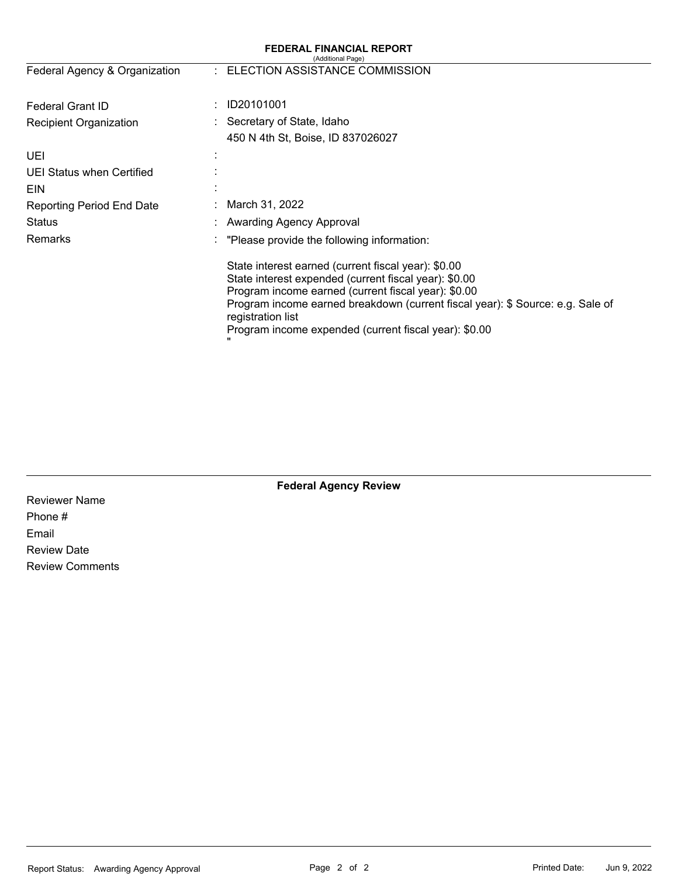| <b>FEDERAL FINANCIAL REPORT</b><br>(Additional Page) |                                                                                                                                                                                                                                                                                                                                     |  |  |  |  |  |
|------------------------------------------------------|-------------------------------------------------------------------------------------------------------------------------------------------------------------------------------------------------------------------------------------------------------------------------------------------------------------------------------------|--|--|--|--|--|
| Federal Agency & Organization                        | : ELECTION ASSISTANCE COMMISSION                                                                                                                                                                                                                                                                                                    |  |  |  |  |  |
| <b>Federal Grant ID</b>                              | ID20101001                                                                                                                                                                                                                                                                                                                          |  |  |  |  |  |
| Recipient Organization                               | : Secretary of State, Idaho                                                                                                                                                                                                                                                                                                         |  |  |  |  |  |
|                                                      | 450 N 4th St, Boise, ID 837026027                                                                                                                                                                                                                                                                                                   |  |  |  |  |  |
| UEI                                                  |                                                                                                                                                                                                                                                                                                                                     |  |  |  |  |  |
| UEI Status when Certified                            |                                                                                                                                                                                                                                                                                                                                     |  |  |  |  |  |
| <b>EIN</b>                                           |                                                                                                                                                                                                                                                                                                                                     |  |  |  |  |  |
| <b>Reporting Period End Date</b>                     | March 31, 2022                                                                                                                                                                                                                                                                                                                      |  |  |  |  |  |
| Status                                               | : Awarding Agency Approval                                                                                                                                                                                                                                                                                                          |  |  |  |  |  |
| <b>Remarks</b>                                       | "Please provide the following information:                                                                                                                                                                                                                                                                                          |  |  |  |  |  |
|                                                      | State interest earned (current fiscal year): \$0.00<br>State interest expended (current fiscal year): \$0.00<br>Program income earned (current fiscal year): \$0.00<br>Program income earned breakdown (current fiscal year): \$ Source: e.g. Sale of<br>registration list<br>Program income expended (current fiscal year): \$0.00 |  |  |  |  |  |

# **Federal Agency Review**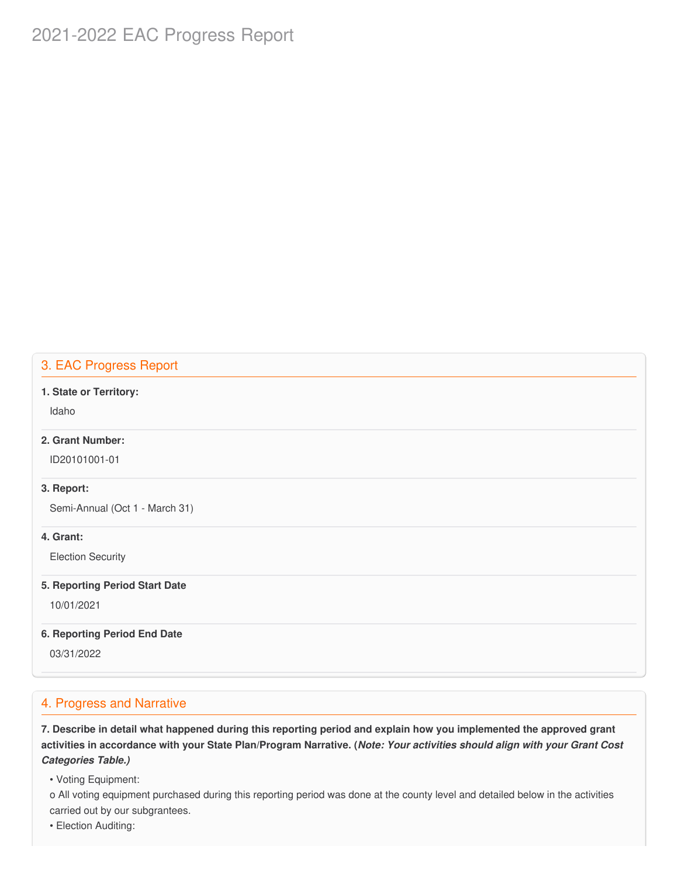# 2021-2022 EAC Progress Report

# 3. EAC Progress Report

### **1. State or Territory:**

Idaho

### **2. Grant Number:**

ID20101001-01

#### **3. Report:**

Semi-Annual (Oct 1 - March 31)

### **4. Grant:**

Election Security

#### **5. Reporting Period Start Date**

10/01/2021

#### **6. Reporting Period End Date**

03/31/2022

### 4. Progress and Narrative

7. Describe in detail what happened during this reporting period and explain how you implemented the approved grant activities in accordance with your State Plan/Program Narrative. (*Note: Your activities should align with your Grant Cost Categories Table.)*

• Voting Equipment:

 o All voting equipment purchased during this reporting period was done at the county level and detailed below in the activities carried out by our subgrantees.

• Election Auditing: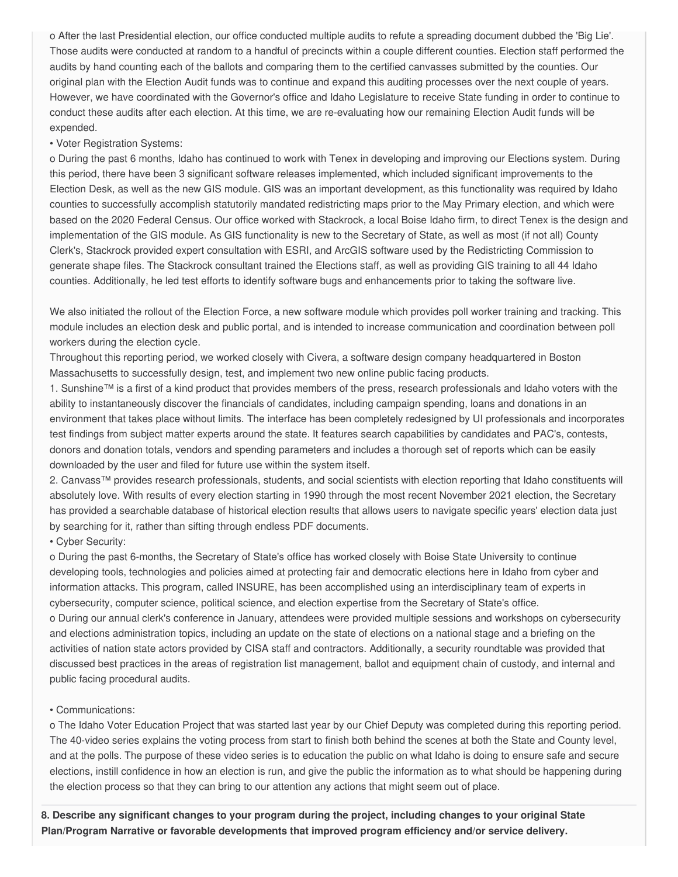o After the last Presidential election, our office conducted multiple audits to refute a spreading document dubbed the 'Big Lie'. Those audits were conducted at random to a handful of precincts within a couple different counties. Election staff performed the audits by hand counting each of the ballots and comparing them to the certified canvasses submitted by the counties. Our original plan with the Election Audit funds was to continue and expand this auditing processes over the next couple of years. However, we have coordinated with the Governor's office and Idaho Legislature to receive State funding in order to continue to conduct these audits after each election. At this time, we are re-evaluating how our remaining Election Audit funds will be expended.

#### • Voter Registration Systems:

 o During the past 6 months, Idaho has continued to work with Tenex in developing and improving our Elections system. During this period, there have been 3 significant software releases implemented, which included significant improvements to the Election Desk, as well as the new GIS module. GIS was an important development, as this functionality was required by Idaho counties to successfully accomplish statutorily mandated redistricting maps prior to the May Primary election, and which were based on the 2020 Federal Census. Our office worked with Stackrock, a local Boise Idaho firm, to direct Tenex is the design and implementation of the GIS module. As GIS functionality is new to the Secretary of State, as well as most (if not all) County Clerk's, Stackrock provided expert consultation with ESRI, and ArcGIS software used by the Redistricting Commission to generate shape files. The Stackrock consultant trained the Elections staff, as well as providing GIS training to all 44 Idaho counties. Additionally, he led test efforts to identify software bugs and enhancements prior to taking the software live.

 We also initiated the rollout of the Election Force, a new software module which provides poll worker training and tracking. This module includes an election desk and public portal, and is intended to increase communication and coordination between poll workers during the election cycle.

 Throughout this reporting period, we worked closely with Civera, a software design company headquartered in Boston Massachusetts to successfully design, test, and implement two new online public facing products.

 1. Sunshine™ is a first of a kind product that provides members of the press, research professionals and Idaho voters with the ability to instantaneously discover the financials of candidates, including campaign spending, loans and donations in an environment that takes place without limits. The interface has been completely redesigned by UI professionals and incorporates test findings from subject matter experts around the state. It features search capabilities by candidates and PAC's, contests, donors and donation totals, vendors and spending parameters and includes a thorough set of reports which can be easily downloaded by the user and filed for future use within the system itself.

 2. Canvass™ provides research professionals, students, and social scientists with election reporting that Idaho constituents will absolutely love. With results of every election starting in 1990 through the most recent November 2021 election, the Secretary has provided a searchable database of historical election results that allows users to navigate specific years' election data just by searching for it, rather than sifting through endless PDF documents.

• Cyber Security:

 o During the past 6-months, the Secretary of State's office has worked closely with Boise State University to continue developing tools, technologies and policies aimed at protecting fair and democratic elections here in Idaho from cyber and information attacks. This program, called INSURE, has been accomplished using an interdisciplinary team of experts in cybersecurity, computer science, political science, and election expertise from the Secretary of State's office.

 o During our annual clerk's conference in January, attendees were provided multiple sessions and workshops on cybersecurity and elections administration topics, including an update on the state of elections on a national stage and a briefing on the activities of nation state actors provided by CISA staff and contractors. Additionally, a security roundtable was provided that discussed best practices in the areas of registration list management, ballot and equipment chain of custody, and internal and public facing procedural audits.

### • Communications:

 o The Idaho Voter Education Project that was started last year by our Chief Deputy was completed during this reporting period. The 40-video series explains the voting process from start to finish both behind the scenes at both the State and County level, and at the polls. The purpose of these video series is to education the public on what Idaho is doing to ensure safe and secure elections, instill confidence in how an election is run, and give the public the information as to what should be happening during the election process so that they can bring to our attention any actions that might seem out of place.

8. Describe any significant changes to your program during the project, including changes to your original State  **Plan/Program Narrative or favorable developments that improved program efficiency and/or service delivery.**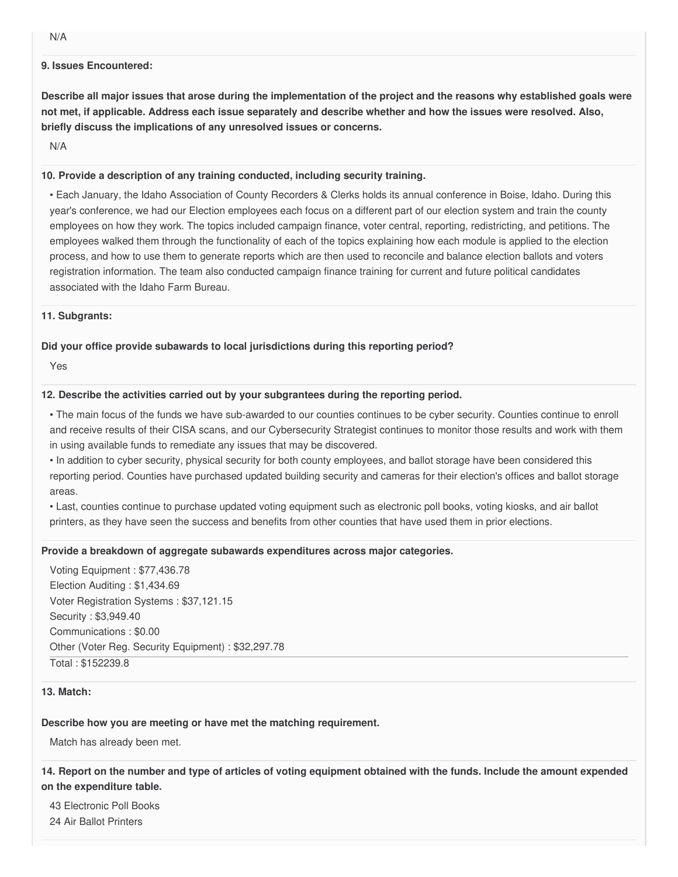#### **9. Issues Encountered:**

Describe all major issues that arose during the implementation of the project and the reasons why established goals were not met, if applicable. Address each issue separately and describe whether and how the issues were resolved. Also,  **briefly discuss the implications of any unresolved issues or concerns.**

N/A

### **10. Provide a description of any training conducted, including security training.**

 • Each January, the Idaho Association of County Recorders & Clerks holds its annual conference in Boise, Idaho. During this year's conference, we had our Election employees each focus on a different part of our election system and train the county employees on how they work. The topics included campaign finance, voter central, reporting, redistricting, and petitions. The employees walked them through the functionality of each of the topics explaining how each module is applied to the election process, and how to use them to generate reports which are then used to reconcile and balance election ballots and voters registration information. The team also conducted campaign finance training for current and future political candidates associated with the Idaho Farm Bureau.

#### **11. Subgrants:**

### **Did your office provide subawards to local jurisdictions during this reporting period?**

Yes

### **12. Describe the activities carried out by your subgrantees during the reporting period.**

 • The main focus of the funds we have sub-awarded to our counties continues to be cyber security. Counties continue to enroll and receive results of their CISA scans, and our Cybersecurity Strategist continues to monitor those results and work with them in using available funds to remediate any issues that may be discovered.

 • In addition to cyber security, physical security for both county employees, and ballot storage have been considered this reporting period. Counties have purchased updated building security and cameras for their election's offices and ballot storage areas.

 • Last, counties continue to purchase updated voting equipment such as electronic poll books, voting kiosks, and air ballot printers, as they have seen the success and benefits from other counties that have used them in prior elections.

### **Provide a breakdown of aggregate subawards expenditures across major categories.**

 Voting Equipment : [\\$77,436.78](https://77,436.78) Election Auditing : [\\$1,434.69](https://1,434.69) Voter Registration Systems : [\\$37,121.15](https://37,121.15) Security : \$[3,949.40](https://3,949.40) Communications : \$0.00 Other (Voter Reg. Security Equipment) : \$[32,297.78](https://32,297.78) Total : \$152239.8

#### **13. Match:**

### **Describe how you are meeting or have met the matching requirement.**

Match has already been met.

14. Report on the number and type of articles of voting equipment obtained with the funds. Include the amount expended  **on the expenditure table.**

 43 Electronic Poll Books 24 Air Ballot Printers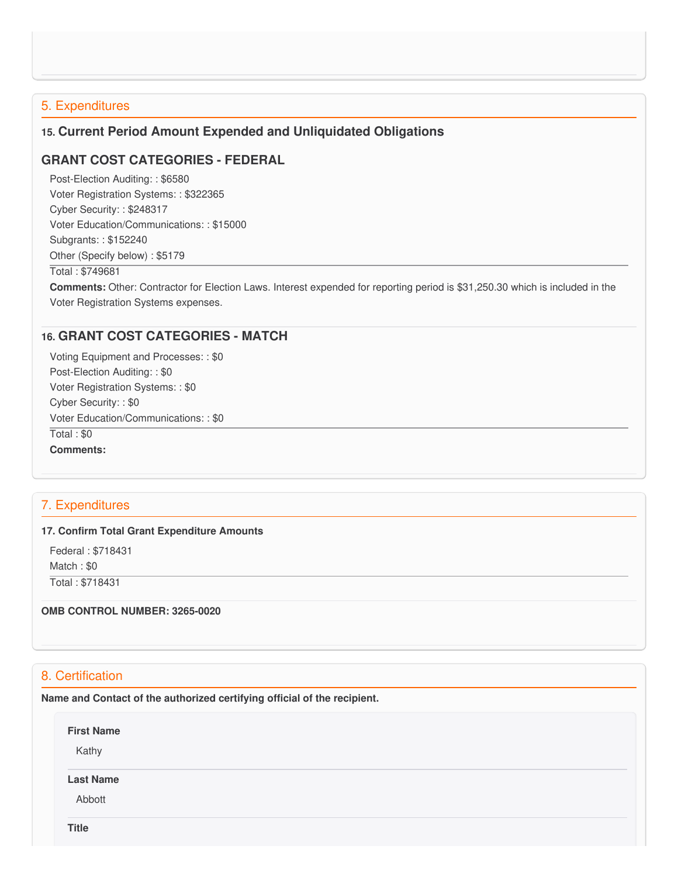# 5. Expenditures

# **15. Current Period Amount Expended and Unliquidated Obligations**

## **GRANT COST CATEGORIES - FEDERAL**

 Post-Election Auditing: : \$6580 Voter Registration Systems: : \$322365 Cyber Security: : \$248317 Voter Education/Communications: : \$15000 Subgrants: : \$152240 Other (Specify below) : \$5179

#### Total : \$749681

 **Comments:** Other: Contractor for Election Laws. Interest expended for reporting period is [\\$31,250.30](https://31,250.30) which is included in the Voter Registration Systems expenses.

### **16. GRANT COST CATEGORIES - MATCH**

 Voting Equipment and Processes: : \$0 Post-Election Auditing: : \$0 Voter Registration Systems: : \$0 Cyber Security: : \$0 Voter Education/Communications: : \$0 Total : \$0 **Comments:**

## 7. Expenditures

#### **17. Confirm Total Grant Expenditure Amounts**

 Federal : \$718431 Match : \$0 Total : \$718431

 **OMB CONTROL NUMBER: 3265-0020**

# 8. Certification

 **Name and Contact of the authorized certifying official of the recipient.**

**First Name** Kathy **Last Name** Abbott

**Title**